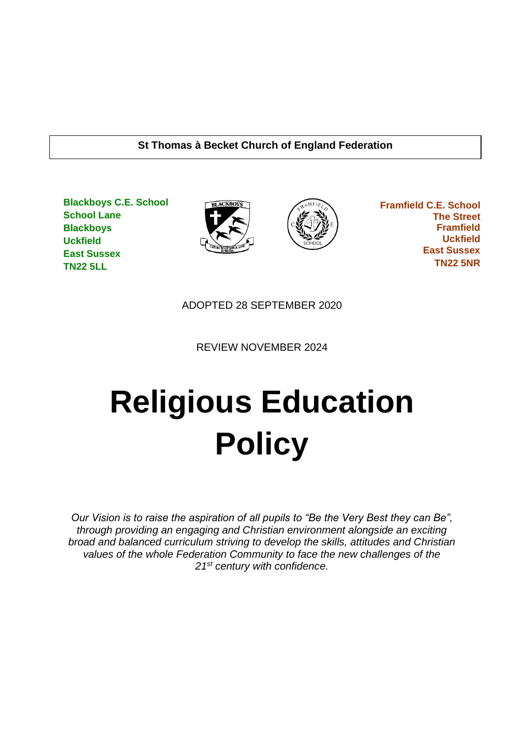### **St Thomas à Becket Church of England Federation**

**Blackboys C.E. School School Lane Blackboys Uckfield East Sussex TN22 5LL**





 **Framfield C.E. School The Street Framfield Uckfield East Sussex TN22 5NR**

ADOPTED 28 SEPTEMBER 2020

REVIEW NOVEMBER 2024

# **Religious Education Policy**

*Our Vision is to raise the aspiration of all pupils to "Be the Very Best they can Be", through providing an engaging and Christian environment alongside an exciting broad and balanced curriculum striving to develop the skills, attitudes and Christian values of the whole Federation Community to face the new challenges of the 21st century with confidence.*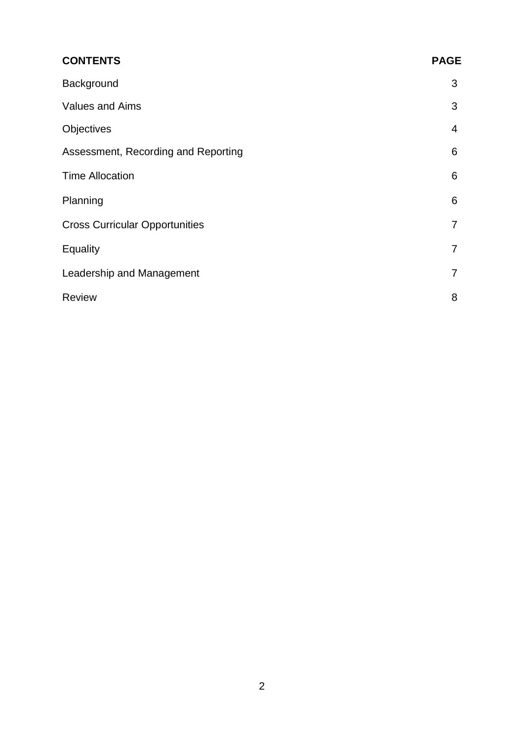| <b>CONTENTS</b>                       | <b>PAGE</b>    |
|---------------------------------------|----------------|
| Background                            | 3              |
| <b>Values and Aims</b>                | 3              |
| Objectives                            | $\overline{4}$ |
| Assessment, Recording and Reporting   | 6              |
| <b>Time Allocation</b>                | 6              |
| Planning                              | 6              |
| <b>Cross Curricular Opportunities</b> | $\overline{7}$ |
| Equality                              | $\overline{7}$ |
| Leadership and Management             | $\overline{7}$ |
| <b>Review</b>                         | 8              |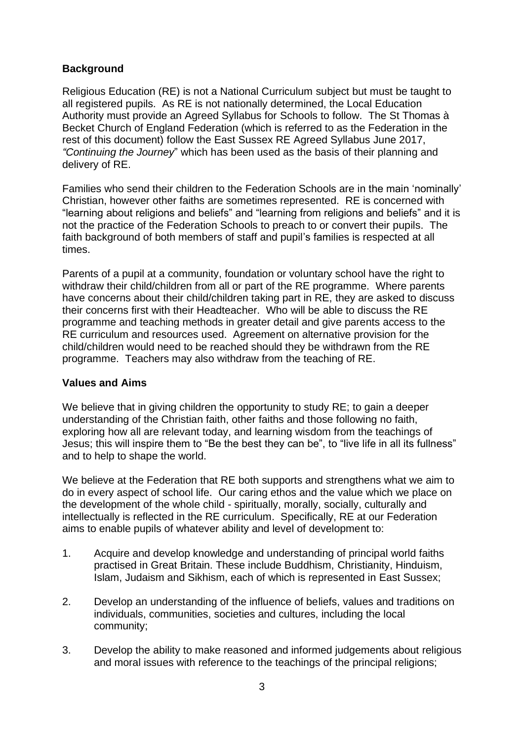# **Background**

Religious Education (RE) is not a National Curriculum subject but must be taught to all registered pupils. As RE is not nationally determined, the Local Education Authority must provide an Agreed Syllabus for Schools to follow. The St Thomas à Becket Church of England Federation (which is referred to as the Federation in the rest of this document) follow the East Sussex RE Agreed Syllabus June 2017, *"Continuing the Journey*" which has been used as the basis of their planning and delivery of RE.

Families who send their children to the Federation Schools are in the main 'nominally' Christian, however other faiths are sometimes represented. RE is concerned with "learning about religions and beliefs" and "learning from religions and beliefs" and it is not the practice of the Federation Schools to preach to or convert their pupils. The faith background of both members of staff and pupil's families is respected at all times.

Parents of a pupil at a community, foundation or voluntary school have the right to withdraw their child/children from all or part of the RE programme. Where parents have concerns about their child/children taking part in RE, they are asked to discuss their concerns first with their Headteacher. Who will be able to discuss the RE programme and teaching methods in greater detail and give parents access to the RE curriculum and resources used. Agreement on alternative provision for the child/children would need to be reached should they be withdrawn from the RE programme. Teachers may also withdraw from the teaching of RE.

## **Values and Aims**

We believe that in giving children the opportunity to study RE; to gain a deeper understanding of the Christian faith, other faiths and those following no faith, exploring how all are relevant today, and learning wisdom from the teachings of Jesus; this will inspire them to "Be the best they can be", to "live life in all its fullness" and to help to shape the world.

We believe at the Federation that RE both supports and strengthens what we aim to do in every aspect of school life. Our caring ethos and the value which we place on the development of the whole child - spiritually, morally, socially, culturally and intellectually is reflected in the RE curriculum. Specifically, RE at our Federation aims to enable pupils of whatever ability and level of development to:

- 1. Acquire and develop knowledge and understanding of principal world faiths practised in Great Britain. These include Buddhism, Christianity, Hinduism, Islam, Judaism and Sikhism, each of which is represented in East Sussex;
- 2. Develop an understanding of the influence of beliefs, values and traditions on individuals, communities, societies and cultures, including the local community;
- 3. Develop the ability to make reasoned and informed judgements about religious and moral issues with reference to the teachings of the principal religions;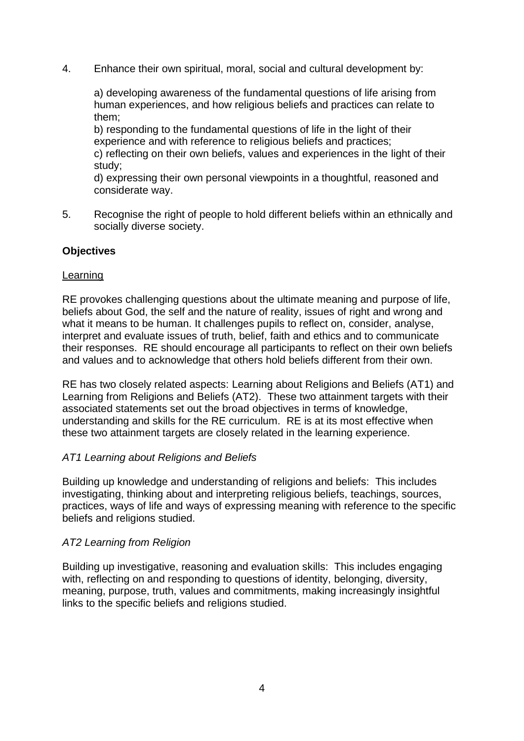4. Enhance their own spiritual, moral, social and cultural development by:

a) developing awareness of the fundamental questions of life arising from human experiences, and how religious beliefs and practices can relate to them;

b) responding to the fundamental questions of life in the light of their experience and with reference to religious beliefs and practices;

c) reflecting on their own beliefs, values and experiences in the light of their study;

d) expressing their own personal viewpoints in a thoughtful, reasoned and considerate way.

5. Recognise the right of people to hold different beliefs within an ethnically and socially diverse society.

## **Objectives**

## Learning

RE provokes challenging questions about the ultimate meaning and purpose of life, beliefs about God, the self and the nature of reality, issues of right and wrong and what it means to be human. It challenges pupils to reflect on, consider, analyse, interpret and evaluate issues of truth, belief, faith and ethics and to communicate their responses. RE should encourage all participants to reflect on their own beliefs and values and to acknowledge that others hold beliefs different from their own.

RE has two closely related aspects: Learning about Religions and Beliefs (AT1) and Learning from Religions and Beliefs (AT2). These two attainment targets with their associated statements set out the broad objectives in terms of knowledge, understanding and skills for the RE curriculum. RE is at its most effective when these two attainment targets are closely related in the learning experience.

## *AT1 Learning about Religions and Beliefs*

Building up knowledge and understanding of religions and beliefs: This includes investigating, thinking about and interpreting religious beliefs, teachings, sources, practices, ways of life and ways of expressing meaning with reference to the specific beliefs and religions studied.

# *AT2 Learning from Religion*

Building up investigative, reasoning and evaluation skills: This includes engaging with, reflecting on and responding to questions of identity, belonging, diversity, meaning, purpose, truth, values and commitments, making increasingly insightful links to the specific beliefs and religions studied.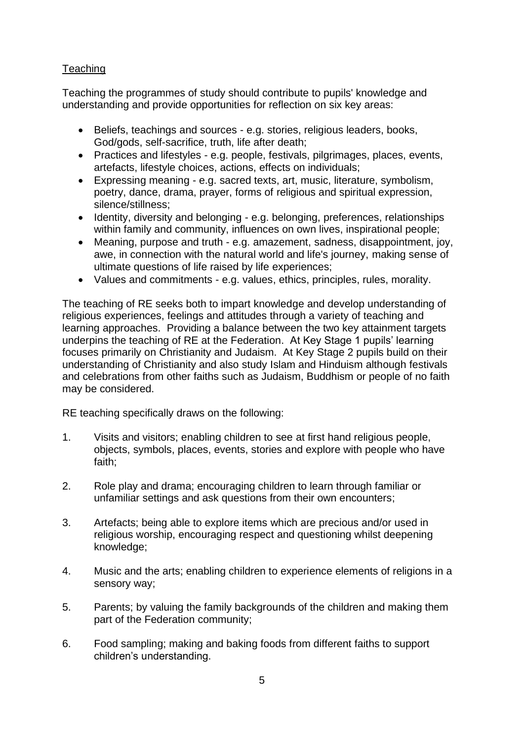# **Teaching**

Teaching the programmes of study should contribute to pupils' knowledge and understanding and provide opportunities for reflection on six key areas:

- Beliefs, teachings and sources e.g. stories, religious leaders, books, God/gods, self-sacrifice, truth, life after death;
- Practices and lifestyles e.g. people, festivals, pilgrimages, places, events, artefacts, lifestyle choices, actions, effects on individuals;
- Expressing meaning e.g. sacred texts, art, music, literature, symbolism, poetry, dance, drama, prayer, forms of religious and spiritual expression, silence/stillness;
- Identity, diversity and belonging e.g. belonging, preferences, relationships within family and community, influences on own lives, inspirational people;
- Meaning, purpose and truth e.g. amazement, sadness, disappointment, joy, awe, in connection with the natural world and life's journey, making sense of ultimate questions of life raised by life experiences;
- Values and commitments e.g. values, ethics, principles, rules, morality.

The teaching of RE seeks both to impart knowledge and develop understanding of religious experiences, feelings and attitudes through a variety of teaching and learning approaches. Providing a balance between the two key attainment targets underpins the teaching of RE at the Federation. At Key Stage 1 pupils' learning focuses primarily on Christianity and Judaism. At Key Stage 2 pupils build on their understanding of Christianity and also study Islam and Hinduism although festivals and celebrations from other faiths such as Judaism, Buddhism or people of no faith may be considered.

RE teaching specifically draws on the following:

- 1. Visits and visitors; enabling children to see at first hand religious people, objects, symbols, places, events, stories and explore with people who have faith;
- 2. Role play and drama; encouraging children to learn through familiar or unfamiliar settings and ask questions from their own encounters;
- 3. Artefacts; being able to explore items which are precious and/or used in religious worship, encouraging respect and questioning whilst deepening knowledge;
- 4. Music and the arts; enabling children to experience elements of religions in a sensory way;
- 5. Parents; by valuing the family backgrounds of the children and making them part of the Federation community;
- 6. Food sampling; making and baking foods from different faiths to support children's understanding.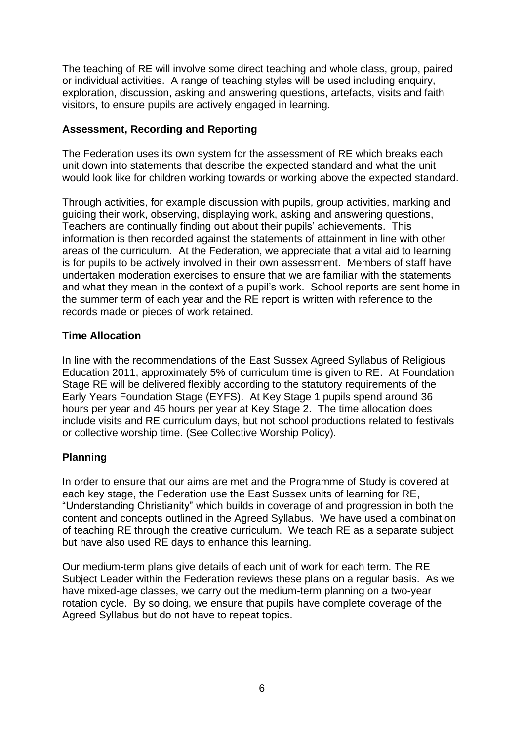The teaching of RE will involve some direct teaching and whole class, group, paired or individual activities. A range of teaching styles will be used including enquiry, exploration, discussion, asking and answering questions, artefacts, visits and faith visitors, to ensure pupils are actively engaged in learning.

# **Assessment, Recording and Reporting**

The Federation uses its own system for the assessment of RE which breaks each unit down into statements that describe the expected standard and what the unit would look like for children working towards or working above the expected standard.

Through activities, for example discussion with pupils, group activities, marking and guiding their work, observing, displaying work, asking and answering questions, Teachers are continually finding out about their pupils' achievements. This information is then recorded against the statements of attainment in line with other areas of the curriculum. At the Federation, we appreciate that a vital aid to learning is for pupils to be actively involved in their own assessment. Members of staff have undertaken moderation exercises to ensure that we are familiar with the statements and what they mean in the context of a pupil's work. School reports are sent home in the summer term of each year and the RE report is written with reference to the records made or pieces of work retained.

# **Time Allocation**

In line with the recommendations of the East Sussex Agreed Syllabus of Religious Education 2011, approximately 5% of curriculum time is given to RE. At Foundation Stage RE will be delivered flexibly according to the statutory requirements of the Early Years Foundation Stage (EYFS). At Key Stage 1 pupils spend around 36 hours per year and 45 hours per year at Key Stage 2. The time allocation does include visits and RE curriculum days, but not school productions related to festivals or collective worship time. (See Collective Worship Policy).

# **Planning**

In order to ensure that our aims are met and the Programme of Study is covered at each key stage, the Federation use the East Sussex units of learning for RE, "Understanding Christianity" which builds in coverage of and progression in both the content and concepts outlined in the Agreed Syllabus. We have used a combination of teaching RE through the creative curriculum. We teach RE as a separate subject but have also used RE days to enhance this learning.

Our medium-term plans give details of each unit of work for each term. The RE Subject Leader within the Federation reviews these plans on a regular basis. As we have mixed-age classes, we carry out the medium-term planning on a two-year rotation cycle. By so doing, we ensure that pupils have complete coverage of the Agreed Syllabus but do not have to repeat topics.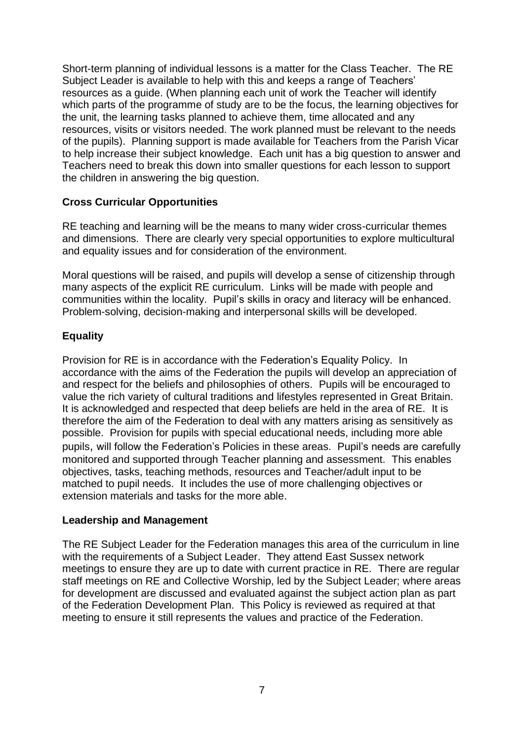Short-term planning of individual lessons is a matter for the Class Teacher. The RE Subject Leader is available to help with this and keeps a range of Teachers' resources as a guide. (When planning each unit of work the Teacher will identify which parts of the programme of study are to be the focus, the learning objectives for the unit, the learning tasks planned to achieve them, time allocated and any resources, visits or visitors needed. The work planned must be relevant to the needs of the pupils). Planning support is made available for Teachers from the Parish Vicar to help increase their subject knowledge. Each unit has a big question to answer and Teachers need to break this down into smaller questions for each lesson to support the children in answering the big question.

# **Cross Curricular Opportunities**

RE teaching and learning will be the means to many wider cross-curricular themes and dimensions. There are clearly very special opportunities to explore multicultural and equality issues and for consideration of the environment.

Moral questions will be raised, and pupils will develop a sense of citizenship through many aspects of the explicit RE curriculum. Links will be made with people and communities within the locality. Pupil's skills in oracy and literacy will be enhanced. Problem-solving, decision-making and interpersonal skills will be developed.

# **Equality**

Provision for RE is in accordance with the Federation's Equality Policy. In accordance with the aims of the Federation the pupils will develop an appreciation of and respect for the beliefs and philosophies of others. Pupils will be encouraged to value the rich variety of cultural traditions and lifestyles represented in Great Britain. It is acknowledged and respected that deep beliefs are held in the area of RE. It is therefore the aim of the Federation to deal with any matters arising as sensitively as possible. Provision for pupils with special educational needs, including more able pupils, will follow the Federation's Policies in these areas. Pupil's needs are carefully monitored and supported through Teacher planning and assessment. This enables objectives, tasks, teaching methods, resources and Teacher/adult input to be matched to pupil needs. It includes the use of more challenging objectives or extension materials and tasks for the more able.

## **Leadership and Management**

The RE Subject Leader for the Federation manages this area of the curriculum in line with the requirements of a Subject Leader. They attend East Sussex network meetings to ensure they are up to date with current practice in RE. There are regular staff meetings on RE and Collective Worship, led by the Subject Leader; where areas for development are discussed and evaluated against the subject action plan as part of the Federation Development Plan. This Policy is reviewed as required at that meeting to ensure it still represents the values and practice of the Federation.